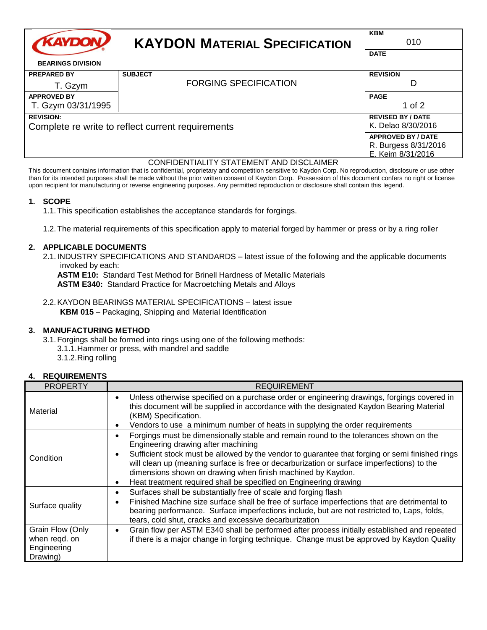| <b>KAYDON</b>                                     | <b>KAYDON MATERIAL SPECIFICATION</b> | <b>KBM</b><br>010         |
|---------------------------------------------------|--------------------------------------|---------------------------|
| <b>BEARINGS DIVISION</b>                          |                                      | <b>DATE</b>               |
| <b>PREPARED BY</b>                                | <b>SUBJECT</b>                       | <b>REVISION</b>           |
| T. Gzym                                           | <b>FORGING SPECIFICATION</b>         | D                         |
| <b>APPROVED BY</b>                                |                                      | <b>PAGE</b>               |
| T. Gzym 03/31/1995                                |                                      | 1 of $2$                  |
| <b>REVISION:</b>                                  |                                      | <b>REVISED BY / DATE</b>  |
| Complete re write to reflect current requirements |                                      | K. Delao 8/30/2016        |
|                                                   |                                      | <b>APPROVED BY / DATE</b> |
|                                                   |                                      | R. Burgess 8/31/2016      |
|                                                   |                                      | E. Keim 8/31/2016         |

#### CONFIDENTIALITY STATEMENT AND DISCLAIMER

This document contains information that is confidential, proprietary and competition sensitive to Kaydon Corp. No reproduction, disclosure or use other than for its intended purposes shall be made without the prior written consent of Kaydon Corp. Possession of this document confers no right or license upon recipient for manufacturing or reverse engineering purposes. Any permitted reproduction or disclosure shall contain this legend.

## **1. SCOPE**

1.1.This specification establishes the acceptance standards for forgings.

1.2.The material requirements of this specification apply to material forged by hammer or press or by a ring roller

## **2. APPLICABLE DOCUMENTS**

2.1. INDUSTRY SPECIFICATIONS AND STANDARDS – latest issue of the following and the applicable documents invoked by each:

**ASTM E10:** Standard Test Method for Brinell Hardness of Metallic Materials

**ASTM E340:** Standard Practice for Macroetching Metals and Alloys

2.2.KAYDON BEARINGS MATERIAL SPECIFICATIONS – latest issue **KBM 015** – Packaging, Shipping and Material Identification

## **3. MANUFACTURING METHOD**

3.1.Forgings shall be formed into rings using one of the following methods:

- 3.1.1.Hammer or press, with mandrel and saddle
- 3.1.2.Ring rolling

## **4. REQUIREMENTS**

| <b>PROPERTY</b>                                              | <b>REQUIREMENT</b>                                                                                                                                                                                                                                                                                                                                                                                                                                                          |  |
|--------------------------------------------------------------|-----------------------------------------------------------------------------------------------------------------------------------------------------------------------------------------------------------------------------------------------------------------------------------------------------------------------------------------------------------------------------------------------------------------------------------------------------------------------------|--|
| Material                                                     | Unless otherwise specified on a purchase order or engineering drawings, forgings covered in<br>$\bullet$<br>this document will be supplied in accordance with the designated Kaydon Bearing Material<br>(KBM) Specification.<br>Vendors to use a minimum number of heats in supplying the order requirements                                                                                                                                                                |  |
| Condition                                                    | Forgings must be dimensionally stable and remain round to the tolerances shown on the<br>Engineering drawing after machining<br>Sufficient stock must be allowed by the vendor to guarantee that forging or semi finished rings<br>٠<br>will clean up (meaning surface is free or decarburization or surface imperfections) to the<br>dimensions shown on drawing when finish machined by Kaydon.<br>Heat treatment required shall be specified on Engineering drawing<br>٠ |  |
| Surface quality                                              | Surfaces shall be substantially free of scale and forging flash<br>Finished Machine size surface shall be free of surface imperfections that are detrimental to<br>bearing performance. Surface imperfections include, but are not restricted to, Laps, folds,<br>tears, cold shut, cracks and excessive decarburization                                                                                                                                                    |  |
| Grain Flow (Only<br>when regd. on<br>Engineering<br>Drawing) | Grain flow per ASTM E340 shall be performed after process initially established and repeated<br>$\bullet$<br>if there is a major change in forging technique. Change must be approved by Kaydon Quality                                                                                                                                                                                                                                                                     |  |